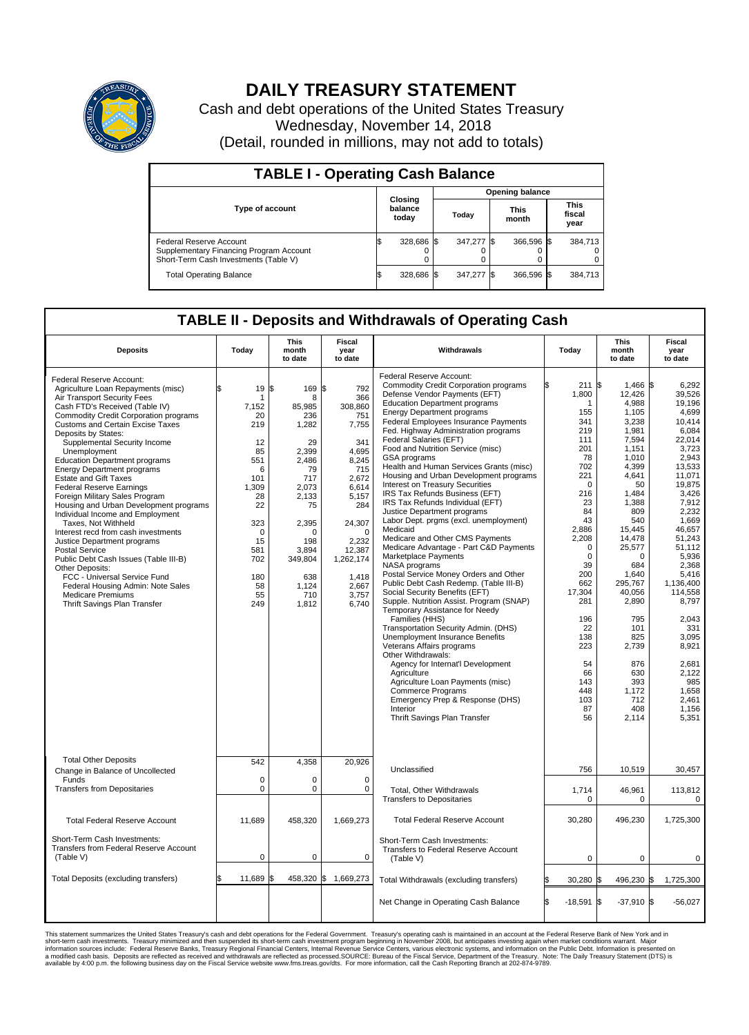

## **DAILY TREASURY STATEMENT**

Cash and debt operations of the United States Treasury Wednesday, November 14, 2018 (Detail, rounded in millions, may not add to totals)

| <b>TABLE I - Operating Cash Balance</b>                                                                     |    |                             |  |                        |  |                      |  |                               |  |  |  |
|-------------------------------------------------------------------------------------------------------------|----|-----------------------------|--|------------------------|--|----------------------|--|-------------------------------|--|--|--|
|                                                                                                             |    |                             |  | <b>Opening balance</b> |  |                      |  |                               |  |  |  |
| <b>Type of account</b>                                                                                      |    | Closing<br>balance<br>today |  | Today                  |  | <b>This</b><br>month |  | <b>This</b><br>fiscal<br>year |  |  |  |
| Federal Reserve Account<br>Supplementary Financing Program Account<br>Short-Term Cash Investments (Table V) |    | 328,686 \$                  |  | 347,277 \$             |  | 366,596 \$           |  | 384,713                       |  |  |  |
| <b>Total Operating Balance</b>                                                                              | ıъ | 328,686 \$                  |  | 347,277 \$             |  | 366.596 \$           |  | 384,713                       |  |  |  |

## **TABLE II - Deposits and Withdrawals of Operating Cash**

| <b>Deposits</b>                                                                                                                                                                                                                                                                                                                                                                                                                                                                                                                                                                                                                                                                                                                                                                                                                                                                      | Today                                                                                                                                                 | <b>This</b><br>month<br>to date                                                                                                                                                              | <b>Fiscal</b><br>year<br>to date                                                                                                                                                                     | Withdrawals                                                                                                                                                                                                                                                                                                                                                                                                                                                                                                                                                                                                                                                                                                                                                                                                                                                                                                                                                                                                                                                                                                                                                                                                                                                              | Today                                                                                                                                                                                                                                                                 | <b>This</b><br>month<br>to date                                                                                                                                                                                                                                                                      | <b>Fiscal</b><br>year<br>to date                                                                                                                                                                                                                                                                                           |  |  |
|--------------------------------------------------------------------------------------------------------------------------------------------------------------------------------------------------------------------------------------------------------------------------------------------------------------------------------------------------------------------------------------------------------------------------------------------------------------------------------------------------------------------------------------------------------------------------------------------------------------------------------------------------------------------------------------------------------------------------------------------------------------------------------------------------------------------------------------------------------------------------------------|-------------------------------------------------------------------------------------------------------------------------------------------------------|----------------------------------------------------------------------------------------------------------------------------------------------------------------------------------------------|------------------------------------------------------------------------------------------------------------------------------------------------------------------------------------------------------|--------------------------------------------------------------------------------------------------------------------------------------------------------------------------------------------------------------------------------------------------------------------------------------------------------------------------------------------------------------------------------------------------------------------------------------------------------------------------------------------------------------------------------------------------------------------------------------------------------------------------------------------------------------------------------------------------------------------------------------------------------------------------------------------------------------------------------------------------------------------------------------------------------------------------------------------------------------------------------------------------------------------------------------------------------------------------------------------------------------------------------------------------------------------------------------------------------------------------------------------------------------------------|-----------------------------------------------------------------------------------------------------------------------------------------------------------------------------------------------------------------------------------------------------------------------|------------------------------------------------------------------------------------------------------------------------------------------------------------------------------------------------------------------------------------------------------------------------------------------------------|----------------------------------------------------------------------------------------------------------------------------------------------------------------------------------------------------------------------------------------------------------------------------------------------------------------------------|--|--|
| Federal Reserve Account:<br>Agriculture Loan Repayments (misc)<br>Air Transport Security Fees<br>Cash FTD's Received (Table IV)<br><b>Commodity Credit Corporation programs</b><br><b>Customs and Certain Excise Taxes</b><br>Deposits by States:<br>Supplemental Security Income<br>Unemployment<br><b>Education Department programs</b><br><b>Energy Department programs</b><br><b>Estate and Gift Taxes</b><br><b>Federal Reserve Earnings</b><br>Foreign Military Sales Program<br>Housing and Urban Development programs<br>Individual Income and Employment<br>Taxes, Not Withheld<br>Interest recd from cash investments<br>Justice Department programs<br><b>Postal Service</b><br>Public Debt Cash Issues (Table III-B)<br>Other Deposits:<br>FCC - Universal Service Fund<br>Federal Housing Admin: Note Sales<br><b>Medicare Premiums</b><br>Thrift Savings Plan Transfer | 19<br>ፍ<br>7,152<br>20<br>219<br>12<br>85<br>551<br>6<br>101<br>1,309<br>28<br>22<br>323<br>$\mathbf 0$<br>15<br>581<br>702<br>180<br>58<br>55<br>249 | l\$<br>$169$ $\sqrt{5}$<br>8<br>85,985<br>236<br>1,282<br>29<br>2,399<br>2,486<br>79<br>717<br>2,073<br>2,133<br>75<br>2,395<br>O<br>198<br>3,894<br>349,804<br>638<br>1,124<br>710<br>1,812 | 792<br>366<br>308,860<br>751<br>7,755<br>341<br>4.695<br>8,245<br>715<br>2,672<br>6,614<br>5,157<br>284<br>24,307<br>$\mathbf 0$<br>2,232<br>12,387<br>1,262,174<br>1.418<br>2,667<br>3,757<br>6,740 | Federal Reserve Account:<br><b>Commodity Credit Corporation programs</b><br>Defense Vendor Payments (EFT)<br><b>Education Department programs</b><br><b>Energy Department programs</b><br>Federal Employees Insurance Payments<br>Fed. Highway Administration programs<br>Federal Salaries (EFT)<br>Food and Nutrition Service (misc)<br>GSA programs<br>Health and Human Services Grants (misc)<br>Housing and Urban Development programs<br>Interest on Treasury Securities<br>IRS Tax Refunds Business (EFT)<br>IRS Tax Refunds Individual (EFT)<br>Justice Department programs<br>Labor Dept. prgms (excl. unemployment)<br>Medicaid<br>Medicare and Other CMS Payments<br>Medicare Advantage - Part C&D Payments<br>Marketplace Payments<br>NASA programs<br>Postal Service Money Orders and Other<br>Public Debt Cash Redemp. (Table III-B)<br>Social Security Benefits (EFT)<br>Supple. Nutrition Assist. Program (SNAP)<br>Temporary Assistance for Needy<br>Families (HHS)<br>Transportation Security Admin. (DHS)<br>Unemployment Insurance Benefits<br>Veterans Affairs programs<br>Other Withdrawals:<br>Agency for Internat'l Development<br>Agriculture<br>Agriculture Loan Payments (misc)<br><b>Commerce Programs</b><br>Emergency Prep & Response (DHS) | ß.<br>211S<br>1,800<br>1<br>155<br>341<br>219<br>111<br>201<br>78<br>702<br>221<br>$\mathbf 0$<br>216<br>23<br>84<br>43<br>2,886<br>2,208<br>$\mathbf 0$<br>$\Omega$<br>39<br>200<br>662<br>17,304<br>281<br>196<br>22<br>138<br>223<br>54<br>66<br>143<br>448<br>103 | 1.466 \$<br>12,426<br>4,988<br>1,105<br>3.238<br>1,981<br>7,594<br>1,151<br>1,010<br>4,399<br>4,641<br>50<br>1,484<br>1,388<br>809<br>540<br>15,445<br>14,478<br>25,577<br>$\Omega$<br>684<br>1,640<br>295.767<br>40,056<br>2,890<br>795<br>101<br>825<br>2,739<br>876<br>630<br>393<br>1,172<br>712 | 6.292<br>39,526<br>19,196<br>4,699<br>10.414<br>6,084<br>22,014<br>3,723<br>2,943<br>13,533<br>11,071<br>19,875<br>3,426<br>7,912<br>2,232<br>1.669<br>46,657<br>51,243<br>51.112<br>5,936<br>2,368<br>5,416<br>1,136,400<br>114,558<br>8,797<br>2.043<br>331<br>3,095<br>8,921<br>2,681<br>2,122<br>985<br>1,658<br>2,461 |  |  |
| <b>Total Other Deposits</b><br>Change in Balance of Uncollected<br>Funds<br><b>Transfers from Depositaries</b>                                                                                                                                                                                                                                                                                                                                                                                                                                                                                                                                                                                                                                                                                                                                                                       | 542<br>$\mathbf 0$<br>$\mathbf 0$                                                                                                                     | 4,358<br>0<br>0                                                                                                                                                                              | 20,926<br>$\mathbf 0$<br>0                                                                                                                                                                           | Interior<br>Thrift Savings Plan Transfer<br>Unclassified<br>Total, Other Withdrawals                                                                                                                                                                                                                                                                                                                                                                                                                                                                                                                                                                                                                                                                                                                                                                                                                                                                                                                                                                                                                                                                                                                                                                                     | 87<br>56<br>756<br>1,714                                                                                                                                                                                                                                              | 408<br>2,114<br>10,519<br>46,961                                                                                                                                                                                                                                                                     | 1,156<br>5,351<br>30,457<br>113,812                                                                                                                                                                                                                                                                                        |  |  |
|                                                                                                                                                                                                                                                                                                                                                                                                                                                                                                                                                                                                                                                                                                                                                                                                                                                                                      |                                                                                                                                                       |                                                                                                                                                                                              |                                                                                                                                                                                                      | <b>Transfers to Depositaries</b>                                                                                                                                                                                                                                                                                                                                                                                                                                                                                                                                                                                                                                                                                                                                                                                                                                                                                                                                                                                                                                                                                                                                                                                                                                         | $\mathbf 0$                                                                                                                                                                                                                                                           | $\mathbf 0$                                                                                                                                                                                                                                                                                          | 0                                                                                                                                                                                                                                                                                                                          |  |  |
| <b>Total Federal Reserve Account</b><br>Short-Term Cash Investments:<br><b>Transfers from Federal Reserve Account</b><br>(Table V)                                                                                                                                                                                                                                                                                                                                                                                                                                                                                                                                                                                                                                                                                                                                                   | 11,689<br>$\mathbf 0$                                                                                                                                 | 458,320<br>0                                                                                                                                                                                 | 1,669,273<br>$\mathbf 0$                                                                                                                                                                             | <b>Total Federal Reserve Account</b><br>Short-Term Cash Investments:<br>Transfers to Federal Reserve Account<br>(Table V)                                                                                                                                                                                                                                                                                                                                                                                                                                                                                                                                                                                                                                                                                                                                                                                                                                                                                                                                                                                                                                                                                                                                                | 30,280<br>$\mathbf 0$                                                                                                                                                                                                                                                 | 496,230<br>$\mathbf 0$                                                                                                                                                                                                                                                                               | 1,725,300<br>0                                                                                                                                                                                                                                                                                                             |  |  |
| Total Deposits (excluding transfers)                                                                                                                                                                                                                                                                                                                                                                                                                                                                                                                                                                                                                                                                                                                                                                                                                                                 | 11,689                                                                                                                                                | 458,320 \$                                                                                                                                                                                   | 1,669,273                                                                                                                                                                                            | Total Withdrawals (excluding transfers)                                                                                                                                                                                                                                                                                                                                                                                                                                                                                                                                                                                                                                                                                                                                                                                                                                                                                                                                                                                                                                                                                                                                                                                                                                  | 30.280 \$                                                                                                                                                                                                                                                             | 496,230 \$                                                                                                                                                                                                                                                                                           | 1,725,300                                                                                                                                                                                                                                                                                                                  |  |  |
|                                                                                                                                                                                                                                                                                                                                                                                                                                                                                                                                                                                                                                                                                                                                                                                                                                                                                      |                                                                                                                                                       |                                                                                                                                                                                              |                                                                                                                                                                                                      | Net Change in Operating Cash Balance                                                                                                                                                                                                                                                                                                                                                                                                                                                                                                                                                                                                                                                                                                                                                                                                                                                                                                                                                                                                                                                                                                                                                                                                                                     | l\$<br>$-18,591$ \$                                                                                                                                                                                                                                                   | $-37,910$ \$                                                                                                                                                                                                                                                                                         | $-56,027$                                                                                                                                                                                                                                                                                                                  |  |  |

This statement summarizes the United States Treasury's cash and debt operations for the Federal Government. Treasury soperating in November 2008, but anticiarded in a cocount at the Federal Reserve Bank of New York and in<br>